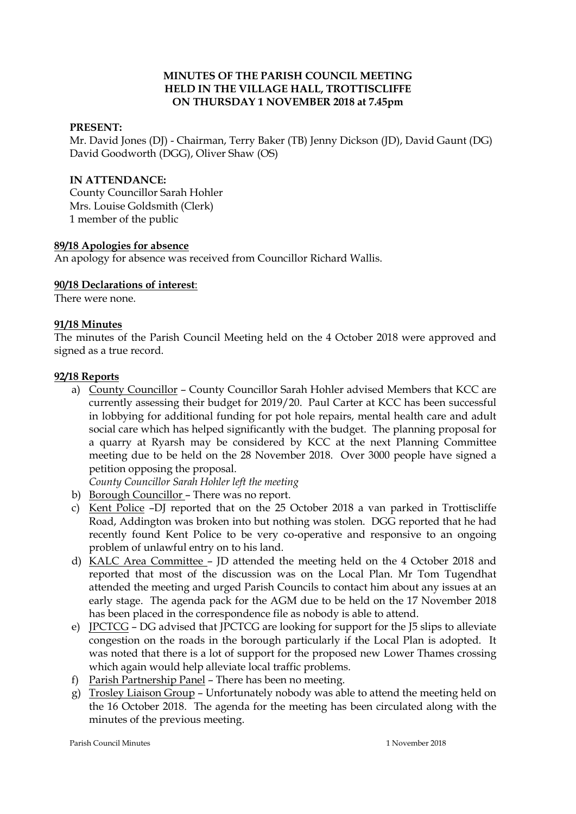## **MINUTES OF THE PARISH COUNCIL MEETING HELD IN THE VILLAGE HALL, TROTTISCLIFFE ON THURSDAY 1 NOVEMBER 2018 at 7.45pm**

### **PRESENT:**

Mr. David Jones (DJ) - Chairman, Terry Baker (TB) Jenny Dickson (JD), David Gaunt (DG) David Goodworth (DGG), Oliver Shaw (OS)

#### **IN ATTENDANCE:**

County Councillor Sarah Hohler Mrs. Louise Goldsmith (Clerk) 1 member of the public

#### **89/18 Apologies for absence**

An apology for absence was received from Councillor Richard Wallis.

#### **90/18 Declarations of interest**:

There were none.

#### **91/18 Minutes**

The minutes of the Parish Council Meeting held on the 4 October 2018 were approved and signed as a true record.

#### **92/18 Reports**

a) County Councillor – County Councillor Sarah Hohler advised Members that KCC are currently assessing their budget for 2019/20. Paul Carter at KCC has been successful in lobbying for additional funding for pot hole repairs, mental health care and adult social care which has helped significantly with the budget. The planning proposal for a quarry at Ryarsh may be considered by KCC at the next Planning Committee meeting due to be held on the 28 November 2018. Over 3000 people have signed a petition opposing the proposal.

*County Councillor Sarah Hohler left the meeting*

- b) Borough Councillor There was no report.
- c) Kent Police –DJ reported that on the 25 October 2018 a van parked in Trottiscliffe Road, Addington was broken into but nothing was stolen. DGG reported that he had recently found Kent Police to be very co-operative and responsive to an ongoing problem of unlawful entry on to his land.
- d) KALC Area Committee JD attended the meeting held on the 4 October 2018 and reported that most of the discussion was on the Local Plan. Mr Tom Tugendhat attended the meeting and urged Parish Councils to contact him about any issues at an early stage. The agenda pack for the AGM due to be held on the 17 November 2018 has been placed in the correspondence file as nobody is able to attend.
- e) JPCTCG DG advised that JPCTCG are looking for support for the J5 slips to alleviate congestion on the roads in the borough particularly if the Local Plan is adopted. It was noted that there is a lot of support for the proposed new Lower Thames crossing which again would help alleviate local traffic problems.
- f) Parish Partnership Panel There has been no meeting.
- g) Trosley Liaison Group Unfortunately nobody was able to attend the meeting held on the 16 October 2018. The agenda for the meeting has been circulated along with the minutes of the previous meeting.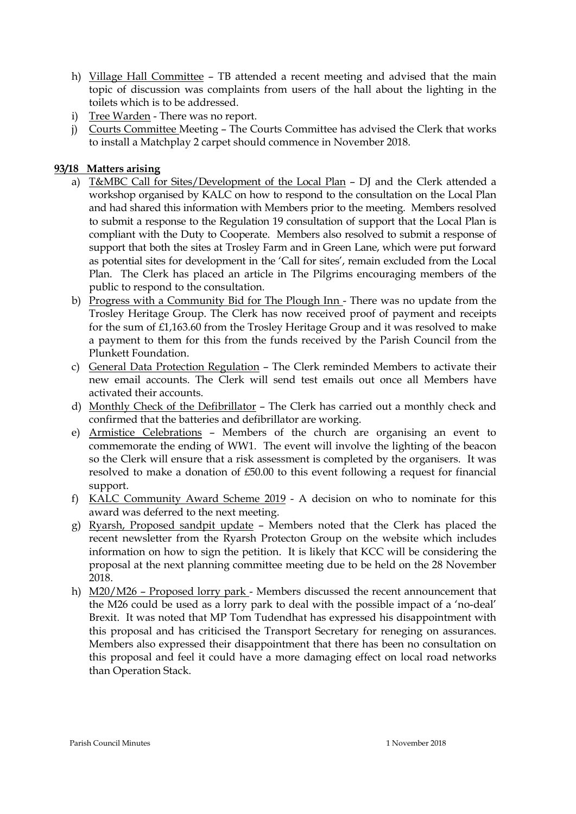- h) Village Hall Committee TB attended a recent meeting and advised that the main topic of discussion was complaints from users of the hall about the lighting in the toilets which is to be addressed.
- i) Tree Warden There was no report.
- j) Courts Committee Meeting The Courts Committee has advised the Clerk that works to install a Matchplay 2 carpet should commence in November 2018.

## **93/18 Matters arising**

- a) T&MBC Call for Sites/Development of the Local Plan DJ and the Clerk attended a workshop organised by KALC on how to respond to the consultation on the Local Plan and had shared this information with Members prior to the meeting. Members resolved to submit a response to the Regulation 19 consultation of support that the Local Plan is compliant with the Duty to Cooperate. Members also resolved to submit a response of support that both the sites at Trosley Farm and in Green Lane, which were put forward as potential sites for development in the 'Call for sites', remain excluded from the Local Plan. The Clerk has placed an article in The Pilgrims encouraging members of the public to respond to the consultation.
- b) Progress with a Community Bid for The Plough Inn There was no update from the Trosley Heritage Group. The Clerk has now received proof of payment and receipts for the sum of £1,163.60 from the Trosley Heritage Group and it was resolved to make a payment to them for this from the funds received by the Parish Council from the Plunkett Foundation.
- c) General Data Protection Regulation The Clerk reminded Members to activate their new email accounts. The Clerk will send test emails out once all Members have activated their accounts.
- d) Monthly Check of the Defibrillator The Clerk has carried out a monthly check and confirmed that the batteries and defibrillator are working.
- e) Armistice Celebrations Members of the church are organising an event to commemorate the ending of WW1. The event will involve the lighting of the beacon so the Clerk will ensure that a risk assessment is completed by the organisers. It was resolved to make a donation of £50.00 to this event following a request for financial support.
- f) KALC Community Award Scheme 2019 A decision on who to nominate for this award was deferred to the next meeting.
- g) Ryarsh, Proposed sandpit update Members noted that the Clerk has placed the recent newsletter from the Ryarsh Protecton Group on the website which includes information on how to sign the petition. It is likely that KCC will be considering the proposal at the next planning committee meeting due to be held on the 28 November 2018.
- h) M20/M26 Proposed lorry park Members discussed the recent announcement that the M26 could be used as a lorry park to deal with the possible impact of a 'no-deal' Brexit. It was noted that MP Tom Tudendhat has expressed his disappointment with this proposal and has criticised the Transport Secretary for reneging on assurances. Members also expressed their disappointment that there has been no consultation on this proposal and feel it could have a more damaging effect on local road networks than Operation Stack.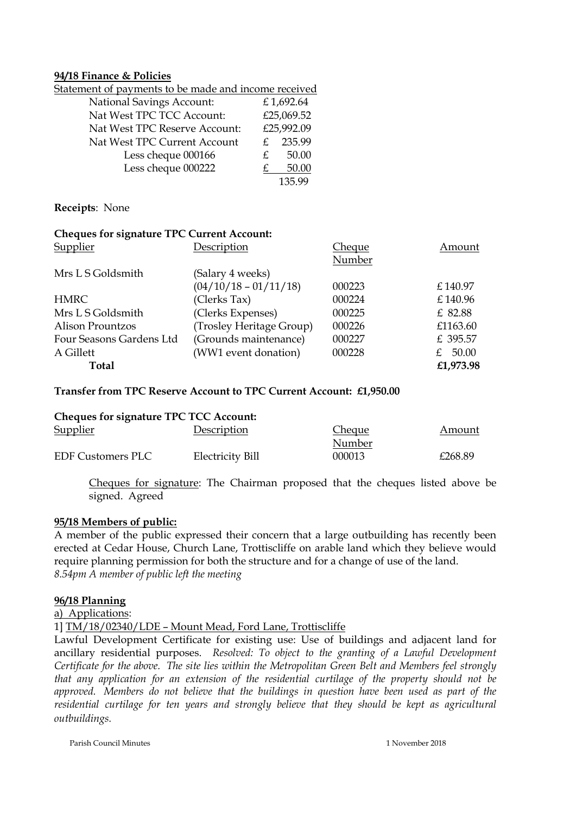#### **94/18 Finance & Policies**

| <u>Statement of payments to be made and income received</u> |    |            |
|-------------------------------------------------------------|----|------------|
| <b>National Savings Account:</b>                            |    | £1,692.64  |
| Nat West TPC TCC Account:                                   |    | £25,069.52 |
| Nat West TPC Reserve Account:                               |    | £25,992.09 |
| Nat West TPC Current Account                                |    | 235.99     |
| Less cheque 000166                                          | £. | 50.00      |
| Less cheque 000222                                          |    | 50.00      |
|                                                             |    | 135.99     |

**Receipts**: None

## **Cheques for signature TPC Current Account:**

| Supplier                 | Description              | Cheque | Amount      |
|--------------------------|--------------------------|--------|-------------|
|                          |                          | Number |             |
| Mrs L S Goldsmith        | (Salary 4 weeks)         |        |             |
|                          | $(04/10/18 - 01/11/18)$  | 000223 | £140.97     |
| <b>HMRC</b>              | (Clerks Tax)             | 000224 | £140.96     |
| Mrs L S Goldsmith        | (Clerks Expenses)        | 000225 | £ 82.88     |
| <b>Alison Prountzos</b>  | (Trosley Heritage Group) | 000226 | £1163.60    |
| Four Seasons Gardens Ltd | (Grounds maintenance)    | 000227 | £ 395.57    |
| A Gillett                | (WW1 event donation)     | 000228 | 50.00<br>£. |
| Total                    |                          |        | £1,973.98   |

## **Transfer from TPC Reserve Account to TPC Current Account: £1,950.00**

| <b>Cheques for signature TPC TCC Account:</b> |                  |               |         |
|-----------------------------------------------|------------------|---------------|---------|
| <b>Supplier</b>                               | Description      | <b>Cheque</b> | Amount  |
|                                               |                  | Number        |         |
| EDF Customers PLC                             | Electricity Bill | 000013        | £268.89 |

Cheques for signature: The Chairman proposed that the cheques listed above be signed. Agreed

## **95/18 Members of public:**

A member of the public expressed their concern that a large outbuilding has recently been erected at Cedar House, Church Lane, Trottiscliffe on arable land which they believe would require planning permission for both the structure and for a change of use of the land. *8.54pm A member of public left the meeting*

## **96/18 Planning**

a) Applications:

1] TM/18/02340/LDE – Mount Mead, Ford Lane, Trottiscliffe

Lawful Development Certificate for existing use: Use of buildings and adjacent land for ancillary residential purposes. *Resolved: To object to the granting of a Lawful Development Certificate for the above. The site lies within the Metropolitan Green Belt and Members feel strongly that any application for an extension of the residential curtilage of the property should not be approved. Members do not believe that the buildings in question have been used as part of the residential curtilage for ten years and strongly believe that they should be kept as agricultural outbuildings.*

Parish Council Minutes 1 November 2018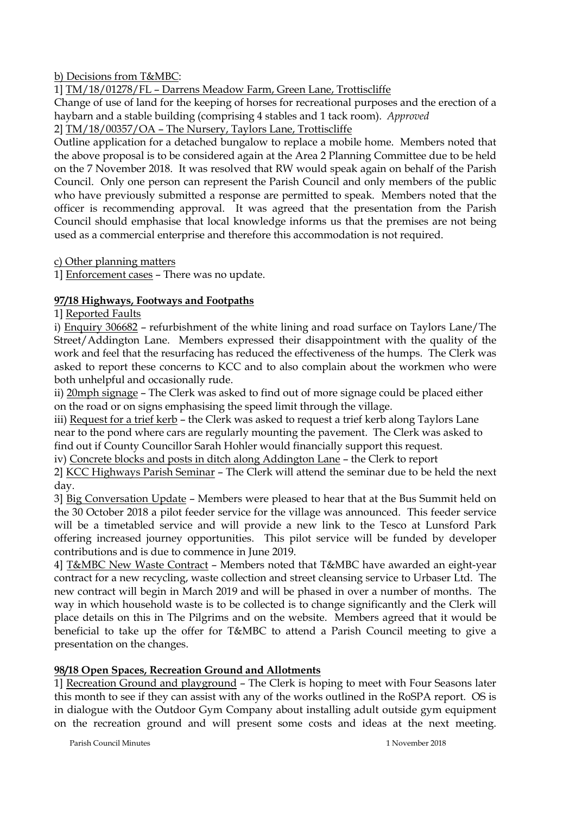b) Decisions from T&MBC:

1] TM/18/01278/FL – Darrens Meadow Farm, Green Lane, Trottiscliffe

Change of use of land for the keeping of horses for recreational purposes and the erection of a haybarn and a stable building (comprising 4 stables and 1 tack room). *Approved*

2] TM/18/00357/OA – The Nursery, Taylors Lane, Trottiscliffe

Outline application for a detached bungalow to replace a mobile home. Members noted that the above proposal is to be considered again at the Area 2 Planning Committee due to be held on the 7 November 2018. It was resolved that RW would speak again on behalf of the Parish Council. Only one person can represent the Parish Council and only members of the public who have previously submitted a response are permitted to speak. Members noted that the officer is recommending approval. It was agreed that the presentation from the Parish Council should emphasise that local knowledge informs us that the premises are not being used as a commercial enterprise and therefore this accommodation is not required.

c) Other planning matters

1] Enforcement cases – There was no update.

# **97/18 Highways, Footways and Footpaths**

1] Reported Faults

i) Enquiry 306682 – refurbishment of the white lining and road surface on Taylors Lane/The Street/Addington Lane. Members expressed their disappointment with the quality of the work and feel that the resurfacing has reduced the effectiveness of the humps. The Clerk was asked to report these concerns to KCC and to also complain about the workmen who were both unhelpful and occasionally rude.

ii) 20mph signage – The Clerk was asked to find out of more signage could be placed either on the road or on signs emphasising the speed limit through the village.

iii) Request for a trief kerb – the Clerk was asked to request a trief kerb along Taylors Lane near to the pond where cars are regularly mounting the pavement. The Clerk was asked to find out if County Councillor Sarah Hohler would financially support this request.

iv) Concrete blocks and posts in ditch along Addington Lane – the Clerk to report

2] KCC Highways Parish Seminar – The Clerk will attend the seminar due to be held the next day.

3] Big Conversation Update – Members were pleased to hear that at the Bus Summit held on the 30 October 2018 a pilot feeder service for the village was announced. This feeder service will be a timetabled service and will provide a new link to the Tesco at Lunsford Park offering increased journey opportunities. This pilot service will be funded by developer contributions and is due to commence in June 2019.

4] T&MBC New Waste Contract – Members noted that T&MBC have awarded an eight-year contract for a new recycling, waste collection and street cleansing service to Urbaser Ltd. The new contract will begin in March 2019 and will be phased in over a number of months. The way in which household waste is to be collected is to change significantly and the Clerk will place details on this in The Pilgrims and on the website. Members agreed that it would be beneficial to take up the offer for T&MBC to attend a Parish Council meeting to give a presentation on the changes.

## **98/18 Open Spaces, Recreation Ground and Allotments**

1] Recreation Ground and playground – The Clerk is hoping to meet with Four Seasons later this month to see if they can assist with any of the works outlined in the RoSPA report. OS is in dialogue with the Outdoor Gym Company about installing adult outside gym equipment on the recreation ground and will present some costs and ideas at the next meeting.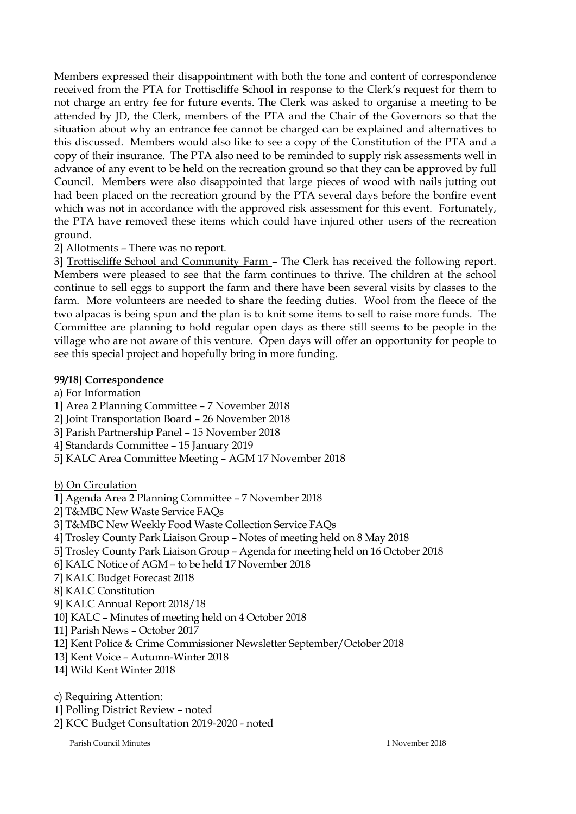Members expressed their disappointment with both the tone and content of correspondence received from the PTA for Trottiscliffe School in response to the Clerk's request for them to not charge an entry fee for future events. The Clerk was asked to organise a meeting to be attended by JD, the Clerk, members of the PTA and the Chair of the Governors so that the situation about why an entrance fee cannot be charged can be explained and alternatives to this discussed. Members would also like to see a copy of the Constitution of the PTA and a copy of their insurance. The PTA also need to be reminded to supply risk assessments well in advance of any event to be held on the recreation ground so that they can be approved by full Council. Members were also disappointed that large pieces of wood with nails jutting out had been placed on the recreation ground by the PTA several days before the bonfire event which was not in accordance with the approved risk assessment for this event. Fortunately, the PTA have removed these items which could have injured other users of the recreation ground.

2] Allotments – There was no report.

3] Trottiscliffe School and Community Farm – The Clerk has received the following report. Members were pleased to see that the farm continues to thrive. The children at the school continue to sell eggs to support the farm and there have been several visits by classes to the farm. More volunteers are needed to share the feeding duties. Wool from the fleece of the two alpacas is being spun and the plan is to knit some items to sell to raise more funds. The Committee are planning to hold regular open days as there still seems to be people in the village who are not aware of this venture. Open days will offer an opportunity for people to see this special project and hopefully bring in more funding.

## **99/18] Correspondence**

a) For Information

1] Area 2 Planning Committee – 7 November 2018

2] Joint Transportation Board – 26 November 2018

- 3] Parish Partnership Panel 15 November 2018
- 4] Standards Committee 15 January 2019
- 5] KALC Area Committee Meeting AGM 17 November 2018

## b) On Circulation

1] Agenda Area 2 Planning Committee – 7 November 2018

- 2] T&MBC New Waste Service FAQs
- 3] T&MBC New Weekly Food Waste Collection Service FAQs
- 4] Trosley County Park Liaison Group Notes of meeting held on 8 May 2018
- 5] Trosley County Park Liaison Group Agenda for meeting held on 16 October 2018
- 6] KALC Notice of AGM to be held 17 November 2018
- 7] KALC Budget Forecast 2018
- 8] KALC Constitution
- 9] KALC Annual Report 2018/18
- 10] KALC Minutes of meeting held on 4 October 2018
- 11] Parish News October 2017
- 12] Kent Police & Crime Commissioner Newsletter September/October 2018
- 13] Kent Voice Autumn-Winter 2018
- 14] Wild Kent Winter 2018
- c) Requiring Attention:
- 1] Polling District Review noted
- 2] KCC Budget Consultation 2019-2020 noted

Parish Council Minutes 1 November 2018